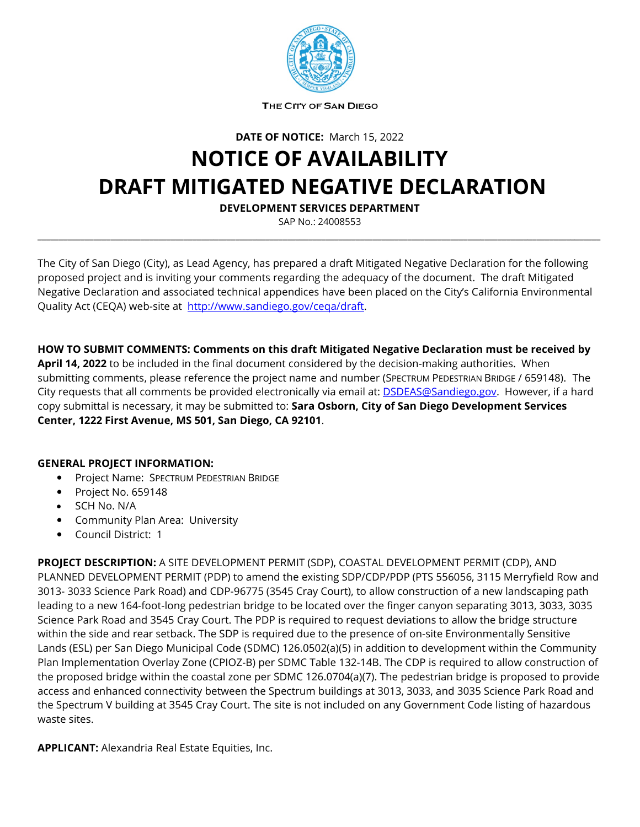

THE CITY OF SAN DIEGO

**DATE OF NOTICE:** March 15, 2022

## **NOTICE OF AVAILABILITY DRAFT MITIGATED NEGATIVE DECLARATION**

**DEVELOPMENT SERVICES DEPARTMENT**

SAP No.: 24008553 **\_\_\_\_\_\_\_\_\_\_\_\_\_\_\_\_\_\_\_\_\_\_\_\_\_\_\_\_\_\_\_\_\_\_\_\_\_\_\_\_\_\_\_\_\_\_\_\_\_\_\_\_\_\_\_\_\_\_\_\_\_\_\_\_\_\_\_\_\_\_\_\_\_\_\_\_\_\_\_\_\_\_\_\_\_\_\_\_\_\_\_\_\_\_\_\_\_\_\_\_\_\_\_\_\_\_\_\_\_\_\_\_\_\_\_\_\_\_\_\_\_\_\_\_\_\_\_\_\_\_\_**

The City of San Diego (City), as Lead Agency, has prepared a draft Mitigated Negative Declaration for the following proposed project and is inviting your comments regarding the adequacy of the document. The draft Mitigated Negative Declaration and associated technical appendices have been placed on the City's California Environmental Quality Act (CEQA) web-site at [http://www.sandiego.gov/ceqa/draft.](http://www.sandiego.gov/ceqa/draft)

**HOW TO SUBMIT COMMENTS: Comments on this draft Mitigated Negative Declaration must be received by April 14, 2022** to be included in the final document considered by the decision-making authorities. When submitting comments, please reference the project name and number (SPECTRUM PEDESTRIAN BRIDGE / 659148). The City requests that all comments be provided electronically via email at: **DSDEAS@Sandiego.gov.** However, if a hard copy submittal is necessary, it may be submitted to: **Sara Osborn, City of San Diego Development Services Center, 1222 First Avenue, MS 501, San Diego, CA 92101**.

## **GENERAL PROJECT INFORMATION:**

- Project Name: SPECTRUM PEDESTRIAN BRIDGE
- Project No. 659148
- SCH No. N/A
- **•** Community Plan Area: University
- Council District: 1

**PROJECT DESCRIPTION:** A SITE DEVELOPMENT PERMIT (SDP), COASTAL DEVELOPMENT PERMIT (CDP), AND PLANNED DEVELOPMENT PERMIT (PDP) to amend the existing SDP/CDP/PDP (PTS 556056, 3115 Merryfield Row and 3013- 3033 Science Park Road) and CDP-96775 (3545 Cray Court), to allow construction of a new landscaping path leading to a new 164-foot-long pedestrian bridge to be located over the finger canyon separating 3013, 3033, 3035 Science Park Road and 3545 Cray Court. The PDP is required to request deviations to allow the bridge structure within the side and rear setback. The SDP is required due to the presence of on-site Environmentally Sensitive Lands (ESL) per San Diego Municipal Code (SDMC) 126.0502(a)(5) in addition to development within the Community Plan Implementation Overlay Zone (CPIOZ-B) per SDMC Table 132-14B. The CDP is required to allow construction of the proposed bridge within the coastal zone per SDMC 126.0704(a)(7). The pedestrian bridge is proposed to provide access and enhanced connectivity between the Spectrum buildings at 3013, 3033, and 3035 Science Park Road and the Spectrum V building at 3545 Cray Court. The site is not included on any Government Code listing of hazardous waste sites.

**APPLICANT:** Alexandria Real Estate Equities, Inc.